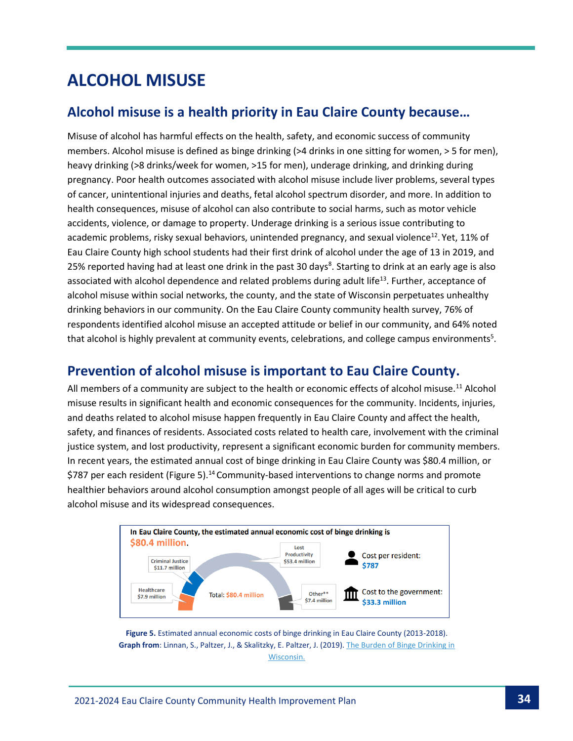## **ALCOHOL MISUSE**

### **Alcohol misuse is a health priority in Eau Claire County because…**

Misuse of alcohol has harmful effects on the health, safety, and economic success of community members. Alcohol misuse is defined as binge drinking (>4 drinks in one sitting for women, > 5 for men), heavy drinking (>8 drinks/week for women, >15 for men), underage drinking, and drinking during pregnancy. Poor health outcomes associated with alcohol misuse include liver problems, several types of cancer, unintentional injuries and deaths, fetal alcohol spectrum disorder, and more. In addition to health consequences, misuse of alcohol can also contribute to social harms, such as motor vehicle accidents, violence, or damage to property. Underage drinking is a serious issue contributing to academic problems, risky sexual behaviors, unintended pregnancy, and sexual violence<sup>12</sup>. Yet, 11% of Eau Claire County high school students had their first drink of alcohol under the age of 13 in 2019, and 25% reported having had at least one drink in the past 30 days<sup>8</sup>. Starting to drink at an early age is also associated with alcohol dependence and related problems during adult life<sup>13</sup>. Further, acceptance of alcohol misuse within social networks, the county, and the state of Wisconsin perpetuates unhealthy drinking behaviors in our community. On the Eau Claire County community health survey, 76% of respondents identified alcohol misuse an accepted attitude or belief in our community, and 64% noted that alcohol is highly prevalent at community events, celebrations, and college campus environments<sup>5</sup>.

#### **Prevention of alcohol misuse is important to Eau Claire County.**

All members of a community are subject to the health or economic effects of alcohol misuse.<sup>11</sup> Alcohol misuse results in significant health and economic consequences for the community. Incidents, injuries, and deaths related to alcohol misuse happen frequently in Eau Claire County and affect the health, safety, and finances of residents. Associated costs related to health care, involvement with the criminal justice system, and lost productivity, represent a significant economic burden for community members. In recent years, the estimated annual cost of binge drinking in Eau Claire County was \$80.4 million, or \$787 per each resident (Figure 5).<sup>14</sup> Community-based interventions to change norms and promote healthier behaviors around alcohol consumption amongst people of all ages will be critical to curb alcohol misuse and its widespread consequences.



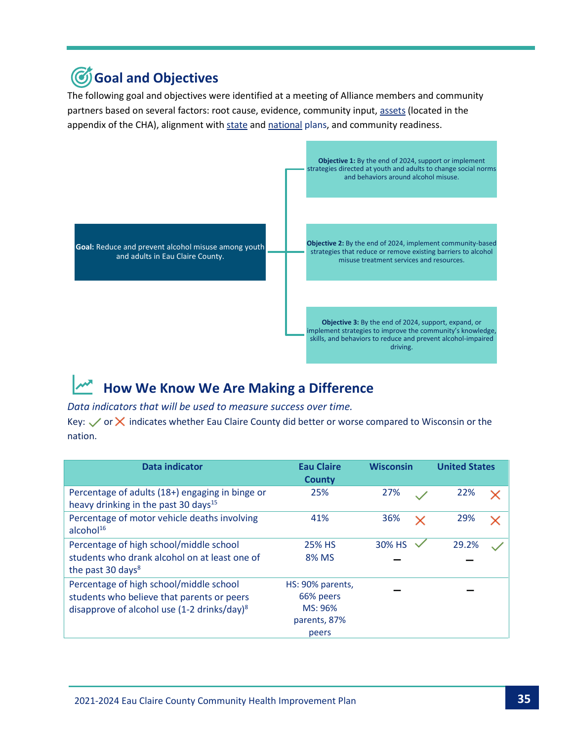## **Goal and Objectives**

The following goal and objectives were identified at a meeting of Alliance members and community partners based on several factors: root cause, evidence, community input, [assets](https://www.eauclairewi.gov/home/showpublisheddocument/25104/637558200633100000) (located in the appendix of the CHA), alignment with [state](https://www.dhs.wisconsin.gov/hw2020/index.htm) an[d national](https://health.gov/healthypeople) plans, and community readiness.



## **How We Know We Are Making a Difference**

#### *Data indicators that will be used to measure success over time.*

Key:  $\vee$  or  $\times$  indicates whether Eau Claire County did better or worse compared to Wisconsin or the nation.

| Data indicator                                                                                      | <b>Eau Claire</b><br><b>County</b> | <b>Wisconsin</b> | <b>United States</b> |
|-----------------------------------------------------------------------------------------------------|------------------------------------|------------------|----------------------|
| Percentage of adults (18+) engaging in binge or<br>heavy drinking in the past 30 days <sup>15</sup> | 25%                                | 27%              | 22%                  |
| Percentage of motor vehicle deaths involving<br>alcohol <sup>16</sup>                               | 41%                                | 36%<br>×         | 29%                  |
| Percentage of high school/middle school                                                             | 25% HS                             | 30% HS           | 29.2%                |
| students who drank alcohol on at least one of<br>the past 30 days <sup>8</sup>                      | 8% MS                              |                  |                      |
| Percentage of high school/middle school                                                             | HS: 90% parents,                   |                  |                      |
| students who believe that parents or peers                                                          | 66% peers                          |                  |                      |
| disapprove of alcohol use (1-2 drinks/day) <sup>8</sup>                                             | MS: 96%                            |                  |                      |
|                                                                                                     | parents, 87%                       |                  |                      |
|                                                                                                     | peers                              |                  |                      |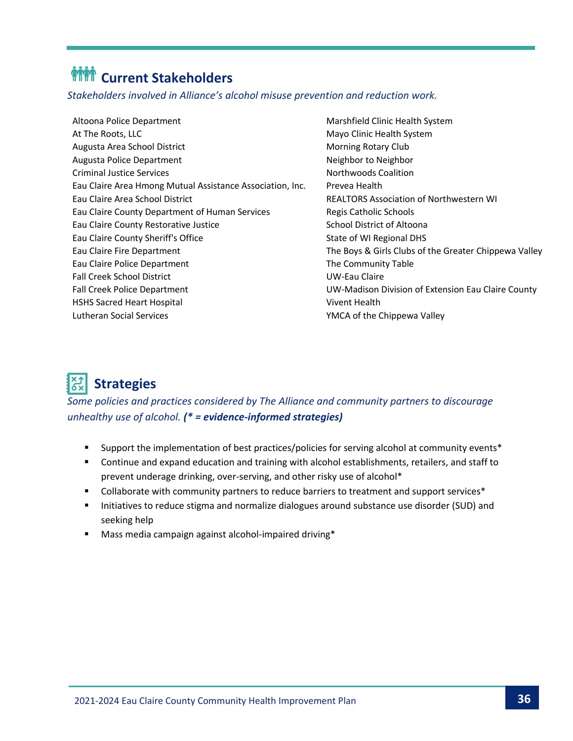# *MMM* Current Stakeholders

*Stakeholders involved in Alliance's alcohol misuse prevention and reduction work.*

Altoona Police Department **Marshfield Clinic Health System** At The Roots, LLC and Mayo Clinic Health System Augusta Area School District Morning Rotary Club Augusta Police Department Neighbor to Neighbor to Neighbor to Neighbor to Neighbor Criminal Justice Services Northwoods Coalition Eau Claire Area Hmong Mutual Assistance Association, Inc. Prevea Health Eau Claire Area School District REALTORS Association of Northwestern WI Eau Claire County Department of Human Services Regis Catholic Schools Eau Claire County Restorative Justice **School District of Altoona** School District of Altoona Eau Claire County Sheriff's Office State of WI Regional DHS Eau Claire Fire Department The Boys & Girls Clubs of the Greater Chippewa Valley Eau Claire Police Department The Community Table Fall Creek School District UW-Eau Claire Fall Creek Police Department UW-Madison Division of Extension Eau Claire County HSHS Sacred Heart Hospital Vivent Health Lutheran Social Services YMCA of the Chippewa Valley

## **Strategies**

*Some policies and practices considered by The Alliance and community partners to discourage unhealthy use of alcohol. (\* = evidence-informed strategies)*

- Support the implementation of best practices/policies for serving alcohol at community events<sup>\*</sup>
- Continue and expand education and training with alcohol establishments, retailers, and staff to prevent underage drinking, over-serving, and other risky use of alcohol\*
- Collaborate with community partners to reduce barriers to treatment and support services<sup>\*</sup>
- Initiatives to reduce stigma and normalize dialogues around substance use disorder (SUD) and seeking help
- Mass media campaign against alcohol-impaired driving\*